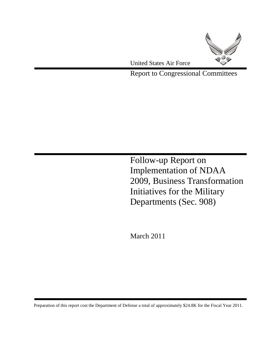

United States Air Force

Report to Congressional Committees

Follow-up Report on Implementation of NDAA 2009, Business Transformation Initiatives for the Military Departments (Sec. 908)

March 2011

Preparation of this report cost the Department of Defense a total of approximately \$24.8K for the Fiscal Year 2011.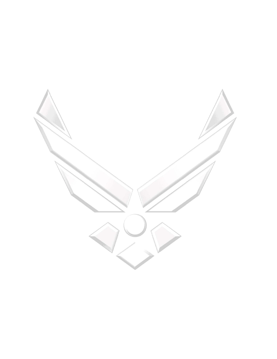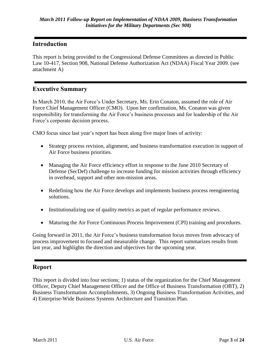### **Introduction**

This report is being provided to the Congressional Defense Committees as directed in Public Law 10-417, Section 908, National Defense Authorization Act (NDAA) Fiscal Year 2009. (see attachment A)

### **Executive Summary**

In March 2010, the Air Force's Under Secretary, Ms. Erin Conaton, assumed the role of Air Force Chief Management Officer (CMO). Upon her confirmation, Ms. Conaton was given responsibility for transforming the Air Force's business processes and for leadership of the Air Force's corporate decision process.

CMO focus since last year's report has been along five major lines of activity:

- Strategy process revision, alignment, and business transformation execution in support of Air Force business priorities.
- Managing the Air Force efficiency effort in response to the June 2010 Secretary of Defense (SecDef) challenge to increase funding for mission activities through efficiency in overhead, support and other non-mission areas.
- Redefining how the Air Force develops and implements business process reengineering solutions.
- Institutionalizing use of quality metrics as part of regular performance reviews.
- Maturing the Air Force Continuous Process Improvement (CPI) training and procedures.

Going forward in 2011, the Air Force's business transformation focus moves from advocacy of process improvement to focused and measurable change. This report summarizes results from last year, and highlights the direction and objectives for the upcoming year.

### **Report**

This report is divided into four sections; 1) status of the organization for the Chief Management Officer, Deputy Chief Management Officer and the Office of Business Transformation (OBT), 2) Business Transformation Accomplishments, 3) Ongoing Business Transformation Activities, and 4) Enterprise-Wide Business Systems Architecture and Transition Plan.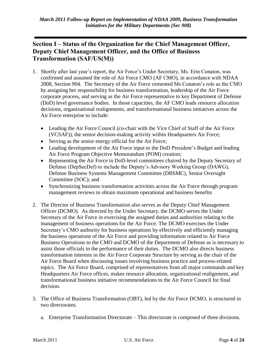# **Section I – Status of the Organization for the Chief Management Officer, Deputy Chief Management Officer, and the Office of Business Transformation (SAF/US(M))**

- 1. Shortly after last year's report, the Air Force's Under Secretary, Ms. Erin Conaton, was confirmed and assumed the role of Air Force CMO (AF CMO), in accordance with NDAA 2008, Section 904. The Secretary of the Air Force cemented Ms Conaton's role as the CMO by assigning her responsibility for business transformation, leadership of the Air Force corporate process, and serving as the Air Force representative to key Department of Defense (DoD) level governance bodies. In those capacities, the AF CMO leads resource allocation decisions, organizational realignments, and transformational business initiatives across the Air Force enterprise to include:
	- Leading the Air Force Council (co-chair with the Vice Chief of Staff of the Air Force (VCSAF)), the senior decision-making activity within Headquarters Air Force;
	- Serving as the senior energy official for the Air Force;
	- Leading development of the Air Force input to the DoD President's Budget and leading Air Force Program Objective Memorandum (POM) creation;
	- Representing the Air Force in DoD-level committees chaired by the Deputy Secretary of Defense (DepSecDef) to include the Deputy's Advisory Working Group (DAWG), Defense Business Systems Management Committee (DBSMC), Senior Oversight Committee (SOC); and
	- Synchronizing business transformation activities across the Air Force through program management reviews to obtain maximum operational and business benefits
- 2. The Director of Business Transformation also serves as the Deputy Chief Management Officer (DCMO). As directed by the Under Secretary, the DCMO serves the Under Secretary of the Air Force in exercising the assigned duties and authorities relating to the management of business operations for the Air Force. The DCMO exercises the Under Secretary's CMO authority for business operations by effectively and efficiently managing the business operations of the Air Force and providing information related to Air Force Business Operations to the CMO and DCMO of the Department of Defense as is necessary to assist those officials in the performance of their duties. The DCMO also directs business transformation interests in the Air Force Corporate Structure by serving as the chair of the Air Force Board when discussing issues involving business practice and process-related topics. The Air Force Board, comprised of representatives from all major commands and key Headquarters Air Force offices, makes resource allocation, organizational realignment, and transformational business initiative recommendations to the Air Force Council for final decision.
- 3. The Office of Business Transformation (OBT), led by the Air Force DCMO, is structured in two directorates.
	- a. Enterprise Transformation Directorate This directorate is composed of three divisions.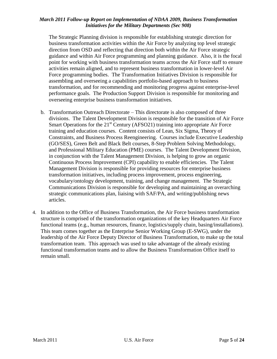The Strategic Planning division is responsible for establishing strategic direction for business transformation activities within the Air Force by analyzing top level strategic direction from OSD and reflecting that direction both within the Air Force strategic guidance and within Air Force programming and planning guidance. Also, it is the focal point for working with business transformation teams across the Air Force staff to ensure activities remain aligned, and to represent business transformation in lower-level Air Force programming bodies. The Transformation Initiatives Division is responsible for assembling and overseeing a capabilities portfolio-based approach to business transformation, and for recommending and monitoring progress against enterprise-level performance goals. The Production Support Division is responsible for monitoring and overseeing enterprise business transformation initiatives.

- b. Transformation Outreach Directorate This directorate is also composed of three divisions. The Talent Development Division is responsible for the transition of Air Force Smart Operations for the  $21<sup>st</sup>$  Century (AFSO21) training into appropriate Air Force training and education courses. Content consists of Lean, Six Sigma, Theory of Constraints, and Business Process Reengineering. Courses include Executive Leadership (GO/SES), Green Belt and Black Belt courses, 8-Step Problem Solving Methodology, and Professional Military Education (PME) courses. The Talent Development Division, in conjunction with the Talent Management Division, is helping to grow an organic Continuous Process Improvement (CPI) capability to enable efficiencies. The Talent Management Division is responsible for providing resources for enterprise business transformation initiatives, including process improvement, process engineering, vocabulary/ontology development, training, and change management. The Strategic Communications Division is responsible for developing and maintaining an overarching strategic communications plan, liaising with SAF/PA, and writing/publishing news articles.
- 4. In addition to the Office of Business Transformation, the Air Force business transformation structure is comprised of the transformation organizations of the key Headquarters Air Force functional teams (e.g., human resources, finance, logistics/supply chain, basing/installations). This team comes together as the Enterprise Senior Working Group (E-SWG), under the leadership of the Air Force Deputy Director of Business Transformation, to make up the total transformation team. This approach was used to take advantage of the already existing functional transformation teams and to allow the Business Transformation Office itself to remain small.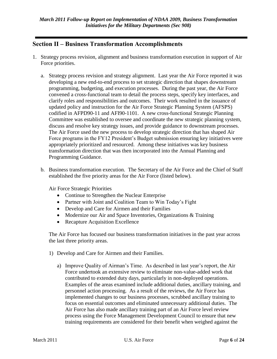## **Section II – Business Transformation Accomplishments**

- 1. Strategy process revision, alignment and business transformation execution in support of Air Force priorities.
	- a. Strategy process revision and strategy alignment. Last year the Air Force reported it was developing a new end-to-end process to set strategic direction that shapes downstream programming, budgeting, and execution processes. During the past year, the Air Force convened a cross-functional team to detail the process steps, specify key interfaces, and clarify roles and responsibilities and outcomes. Their work resulted in the issuance of updated policy and instruction for the Air Force Strategic Planning System (AFSPS) codified in AFPD90-11 and AFI90-1101. A new cross-functional Strategic Planning Committee was established to oversee and coordinate the new strategic planning system, discuss and resolve key strategy issues, and provide guidance to downstream processes. The Air Force used the new process to develop strategic direction that has shaped Air Force programs in the FY12 President's Budget submission ensuring key initiatives were appropriately prioritized and resourced. Among these initiatives was key business transformation direction that was then incorporated into the Annual Planning and Programming Guidance.
	- b. Business transformation execution. The Secretary of the Air Force and the Chief of Staff established the five priority areas for the Air Force (listed below).

Air Force Strategic Priorities

- Continue to Strengthen the Nuclear Enterprise
- Partner with Joint and Coalition Team to Win Today's Fight
- Develop and Care for Airmen and their Families
- Modernize our Air and Space Inventories, Organizations & Training
- Recapture Acquisition Excellence

The Air Force has focused our business transformation initiatives in the past year across the last three priority areas.

- 1) Develop and Care for Airmen and their Families.
	- a) Improve Quality of Airman's Time. As described in last year's report, the Air Force undertook an extensive review to eliminate non-value-added work that contributed to extended duty days, particularly in non-deployed operations. Examples of the areas examined include additional duties, ancillary training, and personnel action processing. As a result of the reviews, the Air Force has implemented changes to our business processes, scrubbed ancillary training to focus on essential outcomes and eliminated unnecessary additional duties. The Air Force has also made ancillary training part of an Air Force level review process using the Force Management Development Council to ensure that new training requirements are considered for their benefit when weighed against the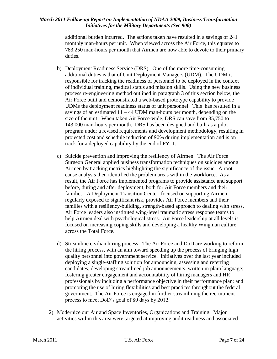additional burden incurred. The actions taken have resulted in a savings of 241 monthly man-hours per unit. When viewed across the Air Force, this equates to 783,250 man-hours per month that Airmen are now able to devote to their primary duties.

- b) Deployment Readiness Service (DRS). One of the more time-consuming additional duties is that of Unit Deployment Managers (UDM). The UDM is responsible for tracking the readiness of personnel to be deployed in the context of individual training, medical status and mission skills. Using the new business process re-engineering method outlined in paragraph 3 of this section below, the Air Force built and demonstrated a web-based prototype capability to provide UDMs the deployment readiness status of unit personnel. This has resulted in a savings of an estimated  $11 - 44$  UDM man-hours per month, depending on the size of the unit. When taken Air Force-wide, DRS can save from 35,750 to 143,000 man-hours per month. DRS has been designed and built as a pilot program under a revised requirements and development methodology, resulting in projected cost and schedule reduction of 90% during implementation and is on track for a deployed capability by the end of FY11.
- c) Suicide prevention and improving the resiliency of Airmen. The Air Force Surgeon General applied business transformation techniques on suicides among Airmen by tracking metrics highlighting the significance of the issue. A root cause analysis then identified the problem areas within the workforce. As a result, the Air Force has implemented programs to provide assistance and support before, during and after deployment, both for Air Force members and their families. A Deployment Transition Center, focused on supporting Airmen regularly exposed to significant risk, provides Air Force members and their families with a resiliency-building, strength-based approach to dealing with stress. Air Force leaders also instituted wing-level traumatic stress response teams to help Airmen deal with psychological stress. Air Force leadership at all levels is focused on increasing coping skills and developing a healthy Wingman culture across the Total Force.
- d) Streamline civilian hiring process. The Air Force and DoD are working to reform the hiring process, with an aim toward speeding up the process of bringing high quality personnel into government service. Initiatives over the last year included deploying a single-staffing solution for announcing, assessing and referring candidates; developing streamlined job announcements, written in plain language; fostering greater engagement and accountability of hiring managers and HR professionals by including a performance objective in their performance plan; and promoting the use of hiring flexibilities and best practices throughout the federal government. The Air Force is engaged in further streamlining the recruitment process to meet DoD's goal of 80 days by 2012.
- 2) Modernize our Air and Space Inventories, Organizations and Training. Major activities within this area were targeted at improving audit readiness and associated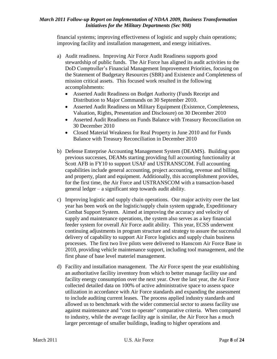financial systems; improving effectiveness of logistic and supply chain operations; improving facility and installation management, and energy initiatives.

- a) Audit readiness. Improving Air Force Audit Readiness supports good stewardship of public funds. The Air Force has aligned its audit activities to the DoD Comptroller's Financial Management Improvement Priorities, focusing on the Statement of Budgetary Resources (SBR) and Existence and Completeness of mission critical assets. This focused work resulted in the following accomplishments:
	- Asserted Audit Readiness on Budget Authority (Funds Receipt and Distribution to Major Commands on 30 September 2010.
	- Asserted Audit Readiness on Military Equipment (Existence, Completeness, Valuation, Rights, Presentation and Disclosure) on 30 December 2010
	- Asserted Audit Readiness on Funds Balance with Treasury Reconciliation on 30 December 2010
	- Closed Material Weakness for Real Property in June 2010 and for Funds Balance with Treasury Reconciliation in December 2010
- b) Defense Enterprise Accounting Management System (DEAMS). Building upon previous successes, DEAMs starting providing full accounting functionality at Scott AFB in FY10 to support USAF and USTRANSCOM. Full accounting capabilities include general accounting, project accounting, revenue and billing, and property, plant and equipment. Additionally, this accomplishment provides, for the first time, the Air Force and USTRANSCOM with a transaction-based general ledger – a significant step towards audit ability.
- c) Improving logistic and supply chain operations. Our major activity over the last year has been work on the logistic/supply chain system upgrade, Expeditionary Combat Support System. Aimed at improving the accuracy and velocity of supply and maintenance operations, the system also serves as a key financial feeder system for overall Air Force audit ability. This year, ECSS underwent continuing adjustments in program structure and strategy to assure the successful delivery of capability to support Air Force logistics and supply chain business processes. The first two live pilots were delivered to Hanscom Air Force Base in 2010, providing vehicle maintenance support, including tool management, and the first phase of base level materiel management.
- d) Facility and installation management. The Air Force spent the year establishing an authoritative facility inventory from which to better manage facility use and facility energy consumption over the next year. Over the last year, the Air Force collected detailed data on 100% of active administrative space to assess space utilization in accordance with Air Force standards and expanding the assessment to include auditing current leases. The process applied industry standards and allowed us to benchmark with the wider commercial sector to assess facility use against maintenance and "cost to operate" comparative criteria. When compared to industry, while the average facility age is similar, the Air Force has a much larger percentage of smaller buildings, leading to higher operations and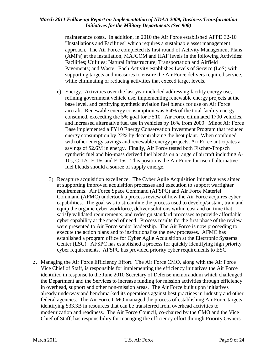maintenance costs. In addition, in 2010 the Air Force established AFPD 32-10 "Installations and Facilities" which requires a sustainable asset management approach. The Air Force completed its first round of Activity Management Plans (AMPs) at the installation, MAJCOM and HAF levels in the following Activities: Facilities; Utilities; Natural Infrastructure; Transportation and Airfield Pavements; and Waste. Each Activity establishes Levels of Service (LoS) with supporting targets and measures to ensure the Air Force delivers required service, while eliminating or reducing activities that exceed target levels.

- e) Energy. Activities over the last year included addressing facility energy use, refining government vehicle use, implementing renewable energy projects at the base level, and certifying synthetic aviation fuel blends for use on Air Force aircraft. Renewable energy consumption was 6.4% of the total facility energy consumed, exceeding the 5% goal for FY10. Air Force eliminated 1700 vehicles, and increased alternative fuel use in vehicles by 16% from 2009. Minot Air Force Base implemented a FY10 Energy Conservation Investment Program that reduced energy consumption by 22% by decentralizing the heat plant. When combined with other energy savings and renewable energy projects, Air Force anticipates a savings of \$2.6M in energy. Finally, Air Force tested both Fischer-Tropsch synthetic fuel and bio-mass derived fuel blends on a range of aircraft including A-10s, C-17s, F-16s and F-15s. This positions the Air Force for use of alternative fuel blends should a source of supply emerge.
- 3) Recapture acquisition excellence. The Cyber Agile Acquisition initiative was aimed at supporting improved acquisition processes and execution to support warfighter requirements. Air Force Space Command (AFSPC) and Air Force Materiel Command (AFMC) undertook a process review of how the Air Force acquires cyber capabilities. The goal was to streamline the process used to develop/sustain, train and equip the organic cyber workforce, deliver solutions within cost and on time that satisfy validated requirements, and redesign standard processes to provide affordable cyber capability at the speed of need. Process results for the first phase of the review were presented to Air Force senior leadership. The Air Force is now proceeding to execute the action plans and to institutionalize the new processes. AFMC has established a program office for Cyber Agile Acquisition at the Electronic Systems Center (ESC). AFSPC has established a process for quickly identifying high priority cyber requirements. AFSPC has provided priority cyber requirements to ESC.
- 2. Managing the Air Force Efficiency Effort. The Air Force CMO, along with the Air Force Vice Chief of Staff, is responsible for implementing the efficiency initiatives the Air Force identified in response to the June 2010 Secretary of Defense memorandum which challenged the Department and the Services to increase funding for mission activities through efficiency in overhead, support and other non-mission areas. The Air Force built upon initiatives already underway and benchmarked its operations against best practices in industry and other federal agencies. The Air Force CMO managed the process of establishing Air Force targets, identifying \$33.3B in resources that can be transferred from overhead activities to modernization and readiness. The Air Force Council, co-chaired by the CMO and the Vice Chief of Staff, has responsibility for managing the efficiency effort through Priority Owners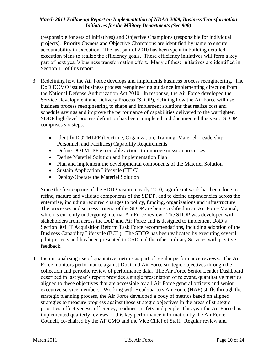(responsible for sets of initiatives) and Objective Champions (responsible for individual projects). Priority Owners and Objective Champions are identified by name to ensure accountability in execution. The last part of 2010 has been spent in building detailed execution plans to realize the efficiency goals. These efficiency initiatives will form a key part of next year's business transformation effort. Many of these initiatives are identified in Section III of this report.

- 3. Redefining how the Air Force develops and implements business process reengineering. The DoD DCMO issued business process reengineering guidance implementing direction from the National Defense Authorization Act 2010. In response, the Air Force developed the Service Development and Delivery Process (SDDP), defining how the Air Force will use business process reengineering to shape and implement solutions that realize cost and schedule savings and improve the performance of capabilities delivered to the warfighter. SDDP high-level process definition has been completed and documented this year. SDDP comprises six steps:
	- Identify DOTMLPF (Doctrine, Organization, Training, Materiel, Leadership, Personnel, and Facilities) Capability Requirements
	- Define DOTMLPF executable actions to improve mission processes
	- Define Materiel Solution and Implementation Plan
	- Plan and implement the developmental components of the Materiel Solution
	- Sustain Application Lifecycle (ITLC)
	- Deploy/Operate the Materiel Solution

Since the first capture of the SDDP vision in early 2010, significant work has been done to refine, mature and validate components of the SDDP, and to define dependencies across the enterprise, including required changes to policy, funding, organizations and infrastructure. The processes and success criteria of the SDDP are being codified in an Air Force Manual, which is currently undergoing internal Air Force review. The SDDP was developed with stakeholders from across the DoD and Air Force and is designed to implement DoD's Section 804 IT Acquisition Reform Task Force recommendations, including adoption of the Business Capability Lifecycle (BCL). The SDDP has been validated by executing several pilot projects and has been presented to OSD and the other military Services with positive feedback.

4. Institutionalizing use of quantative metrics as part of regular performance reviews. The Air Force monitors performance against DoD and Air Force strategic objectives through the collection and periodic review of performance data. The Air Force Senior Leader Dashboard described in last year's report provides a single presentation of relevant, quantitative metrics aligned to these objectives that are accessible by all Air Force general officers and senior executive service members. Working with Headquarters Air Force (HAF) staffs through the strategic planning process, the Air Force developed a body of metrics based on aligned strategies to measure progress against those strategic objectives in the areas of strategic priorities, effectiveness, efficiency, readiness, safety and people. This year the Air Force has implemented quarterly reviews of this key performance information by the Air Force Council, co-chaired by the AF CMO and the Vice Chief of Staff. Regular review and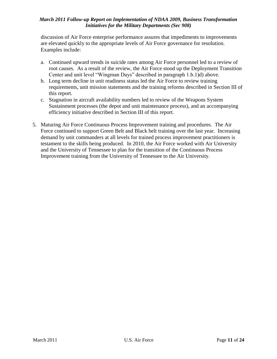discussion of Air Force enterprise performance assures that impediments to improvements are elevated quickly to the appropriate levels of Air Force governance for resolution. Examples include:

- a. Continued upward trends in suicide rates among Air Force personnel led to a review of root causes. As a result of the review, the Air Force stood up the Deployment Transition Center and unit level "Wingman Days" described in paragraph 1.b.1)d) above.
- b. Long term decline in unit readiness status led the Air Force to review training requirements, unit mission statements and the training reforms described in Section III of this report.
- c. Stagnation in aircraft availability numbers led to review of the Weapons System Sustainment processes (the depot and unit maintenance process), and an accompanying efficiency initiative described in Section III of this report.
- 5. Maturing Air Force Continuous Process Improvement training and procedures. The Air Force continued to support Green Belt and Black belt training over the last year. Increasing demand by unit commanders at all levels for trained process improvement practitioners is testament to the skills being produced. In 2010, the Air Force worked with Air University and the University of Tennessee to plan for the transition of the Continuous Process Improvement training from the University of Tennessee to the Air University.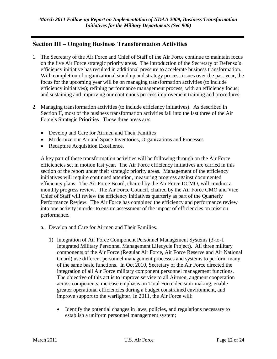# **Section III – Ongoing Business Transformation Activities**

- 1. The Secretary of the Air Force and Chief of Staff of the Air Force continue to maintain focus on the five Air Force strategic priority areas. The introduction of the Secretary of Defense's efficiency initiative has resulted in additional pressure to accelerate business transformation. With completion of organizational stand up and strategy process issues over the past year, the focus for the upcoming year will be on managing transformation activities (to include efficiency initiatives); refining performance management process, with an efficiency focus; and sustaining and improving our continuous process improvement training and procedures.
- 2. Managing transformation activities (to include efficiency initiatives). As described in Section II, most of the business transformation activities fall into the last three of the Air Force's Strategic Priorities. Those three areas are:
	- Develop and Care for Airmen and Their Families
	- Modernize our Air and Space Inventories, Organizations and Processes
	- Recapture Acquisition Excellence.

A key part of these transformation activities will be following through on the Air Force efficiencies set in motion last year. The Air Force efficiency initiatives are carried in this section of the report under their strategic priority areas. Management of the efficiency initiatives will require continued attention, measuring progress against documented efficiency plans. The Air Force Board, chaired by the Air Force DCMO, will conduct a monthly progress review. The Air Force Council, chaired by the Air Force CMO and Vice Chief of Staff will review the efficiency initiatives quarterly as part of the Quarterly Performance Review. The Air Force has combined the efficiency and performance review into one activity in order to ensure assessment of the impact of efficiencies on mission performance.

- a. Develop and Care for Airmen and Their Families.
	- 1) Integration of Air Force Component Personnel Management Systems (3-to-1 Integrated Military Personnel Management Lifecycle Project). All three military components of the Air Force (Regular Air Force, Air Force Reserve and Air National Guard) use different personnel management processes and systems to perform many of the same basic functions. In Oct 2010, Secretary of the Air Force directed the integration of all Air Force military component personnel management functions. The objective of this act is to improve service to all Airmen, augment cooperation across components, increase emphasis on Total Force decision-making, enable greater operational efficiencies during a budget constrained environment, and improve support to the warfighter. In 2011, the Air Force will:
		- Identify the potential changes in laws, policies, and regulations necessary to establish a uniform personnel management system;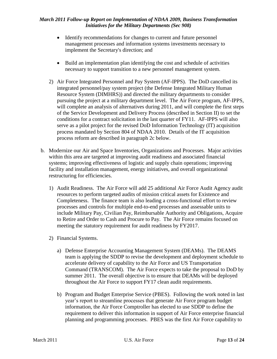- Identify recommendations for changes to current and future personnel management processes and information systems investments necessary to implement the Secretary's direction; and
- Build an implementation plan identifying the cost and schedule of activities necessary to support transition to a new personnel management system.
- 2) Air Force Integrated Personnel and Pay System (AF-IPPS). The DoD cancelled its integrated personnel/pay system project (the Defense Integrated Military Human Resource System (DIMHRS)) and directed the military departments to consider pursuing the project at a military department level. The Air Force program, AF-IPPS, will complete an analysis of alternatives during 2011, and will complete the first steps of the Service Development and Delivery Process (described in Section II) to set the conditions for a contract solicitation in the last quarter of FY11. AF-IPPS will also serve as a pilot project for the revised DoD Information Technology (IT) acquisition process mandated by Section 804 of NDAA 2010. Details of the IT acquisition process reform are described in paragraph 2c below.
- b. Modernize our Air and Space Inventories, Organizations and Processes. Major activities within this area are targeted at improving audit readiness and associated financial systems; improving effectiveness of logistic and supply chain operations; improving facility and installation management, energy initiatives, and overall organizational restructuring for efficiencies.
	- 1) Audit Readiness. The Air Force will add 25 additional Air Force Audit Agency audit resources to perform targeted audits of mission critical assets for Existence and Completeness. The finance team is also leading a cross-functional effort to review processes and controls for multiple end-to-end processes and assessable units to include Military Pay, Civilian Pay, Reimbursable Authority and Obligations, Acquire to Retire and Order to Cash and Procure to Pay. The Air Force remains focused on meeting the statutory requirement for audit readiness by FY2017.
	- 2) Financial Systems.
		- a) Defense Enterprise Accounting Management System (DEAMs). The DEAMS team is applying the SDDP to revise the development and deployment schedule to accelerate delivery of capability to the Air Force and US Transportation Command (TRANSCOM). The Air Force expects to take the proposal to DoD by summer 2011. The overall objective is to ensure that DEAMs will be deployed throughout the Air Force to support FY17 clean audit requirements.
		- b) Program and Budget Enterprise Service (PBES). Following the work noted in last year's report to streamline processes that generate Air Force program budget information, the Air Force Comptroller has elected to use SDDP to define the requirement to deliver this information in support of Air Force enterprise financial planning and programming processes. PBES was the first Air Force capability to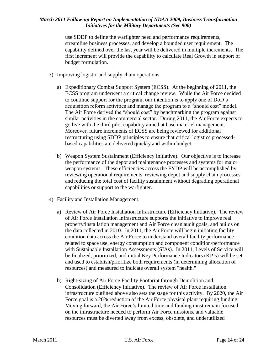use SDDP to define the warfighter need and performance requirements, streamline business processes, and develop a bounded user requirement. The capability defined over the last year will be delivered in multiple increments. The first increment will provide the capability to calculate Real Growth in support of budget formulation.

- 3) Improving logistic and supply chain operations.
	- a) Expeditionary Combat Support System (ECSS). At the beginning of 2011, the ECSS program underwent a critical change review. While the Air Force decided to continue support for the program, our intention is to apply one of DoD's acquisition reform activities and manage the program to a "should cost" model. The Air Force derived the "should cost" by benchmarking the program against similar activities in the commercial sector. During 2011, the Air Force expects to go live with the third pilot capability aimed at base materiel management. Moreover, future increments of ECSS are being reviewed for additional restructuring using SDDP principles to ensure that critical logistics processedbased capabilities are delivered quickly and within budget.
	- b) Weapon System Sustainment (Efficiency Initiative). Our objective is to increase the performance of the depot and maintenance processes and systems for major weapon systems. These efficiencies across the FYDP will be accomplished by reviewing operational requirements, reviewing depot and supply chain processes and reducing the total cost of facility sustainment without degrading operational capabilities or support to the warfighter.
- 4) Facility and Installation Management.
	- a) Review of Air Force Installation Infrastructure (Efficiency Initiative). The review of Air Force Installation Infrastructure supports the initiative to improve real property/installation management and Air Force clean audit goals, and builds on the data collected in 2010. In 2011, the Air Force will begin initiating facility condition data across the Air Force to understand overall facility performance related to space use, energy consumption and component condition/performance with Sustainable Installation Assessments (SIAs). In 2011, Levels of Service will be finalized, prioritized, and initial Key Performance Indicators (KPIs) will be set and used to establish/prioritize both requirements (in determining allocation of resources) and measured to indicate overall system "health."
	- b) Right-sizing of Air Force Facility Footprint through Demolition and Consolidation (Efficiency Initiative). The review of Air Force installation infrastructure outlined above also sets the stage for this activity. By 2020, the Air Force goal is a 20% reduction of the Air Force physical plant requiring funding. Moving forward, the Air Force's limited time and funding must remain focused on the infrastructure needed to perform Air Force missions, and valuable resources must be diverted away from excess, obsolete, and underutilized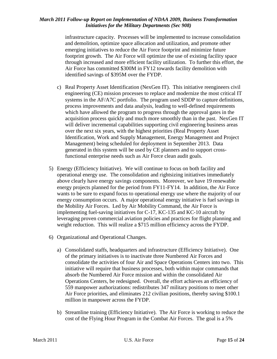infrastructure capacity. Processes will be implemented to increase consolidation and demolition, optimize space allocation and utilization, and promote other emerging initiatives to reduce the Air Force footprint and minimize future footprint growth. The Air Force will optimize the use of existing facility space through increased and more efficient facility utilization. To further this effort, the Air Force has committed \$300M in FY12 towards facility demolition with identified savings of \$395M over the FYDP.

- c) Real Property Asset Identification (NexGen IT). This initiative reengineers civil engineering (CE) mission processes to replace and modernize the most critical IT systems in the AF/A7C portfolio. The program used SDDP to capture definitions, process improvements and data analysis, leading to well-defined requirements which have allowed the program to progress through the approval gates in the acquisition process quickly and much more smoothly than in the past. NexGen IT will deliver incremental capabilities supporting civil engineering business areas over the next six years, with the highest priorities (Real Property Asset Identification, Work and Supply Management, Energy Management and Project Management) being scheduled for deployment in September 2013. Data generated in this system will be used by CE planners and to support crossfunctional enterprise needs such as Air Force clean audit goals.
- 5) Energy (Efficiency Initiative). We will continue to focus on both facility and operational energy use. The consolidation and rightsizing initiatives immediately above clearly have energy savings components. Moreover, we have 19 renewable energy projects planned for the period from FY11-FY14. In addition, the Air Force wants to be sure to expand focus to operational energy use where the majority of our energy consumption occurs. A major operational energy initiative is fuel savings in the Mobility Air Forces. Led by Air Mobility Command, the Air Force is implementing fuel-saving initiatives for C-17, KC-135 and KC-10 aircraft by leveraging proven commercial aviation policies and practices for flight planning and weight reduction. This will realize a \$715 million efficiency across the FYDP.
- 6) Organizational and Operational Changes.
	- a) Consolidated staffs, headquarters and infrastructure (Efficiency Initiative). One of the primary initiatives is to inactivate three Numbered Air Forces and consolidate the activities of four Air and Space Operations Centers into two. This initiative will require that business processes, both within major commands that absorb the Numbered Air Force mission and within the consolidated Air Operations Centers, be redesigned. Overall, the effort achieves an efficiency of 559 manpower authorizations: redistributes 347 military positions to meet other Air Force priorities, and eliminates 212 civilian positions, thereby saving \$100.1 million in manpower across the FYDP.
	- b) Streamline training (Efficiency Initiative). The Air Force is working to reduce the cost of the Flying Hour Program in the Combat Air Forces. The goal is a 5%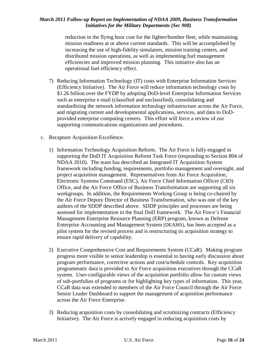reduction in the flying hour cost for the fighter/bomber fleet, while maintaining mission readiness at or above current standards. This will be accomplished by increasing the use of high-fidelity simulators, mission training centers, and distributed mission operations, as well as implementing fuel management efficiencies and improved mission planning. This initiative also has an operational fuel efficiency effect.

- 7) Reducing Information Technology (IT) costs with Enterprise Information Services (Efficiency Initiative). The Air Force will reduce information technology costs by \$1.26 billion over the FYDP by adopting DoD-level Enterprise Information Services such as enterprise e-mail (classified and unclassified), consolidating and standardizing the network information technology infrastructure across the Air Force, and migrating current and developmental applications, services, and data to DoDprovided enterprise computing centers. This effort will force a review of our supporting communications organizations and procedures.
- c. Recapture Acquisition Excellence.
	- 1) Information Technology Acquisition Reform. The Air Force is fully engaged in supporting the DoD IT Acquisition Reform Task Force (responding to Section 804 of NDAA 2010). The team has described an Integrated IT Acquisition System framework including funding, requirements, portfolio management and oversight, and project acquisition management. Representatives from Air Force Acquisition, Electronic Systems Command (ESC), Air Force Chief Information Officer (CIO) Office, and the Air Force Office of Business Transformation are supporting all six workgroups. In addition, the Requirements Working Group is being co-chaired by the Air Force Deputy Director of Business Transformation, who was one of the key authors of the SDDP described above. SDDP principles and processes are being assessed for implementation in the final DoD framework. The Air Force's Financial Management Enterprise Resource Planning (ERP) program, known as Defense Enterprise Accounting and Management System (DEAMS), has been accepted as a pilot system for the revised process and is restructuring its acquisition strategy to ensure rapid delivery of capability.
	- 2) Executive Comprehensive Cost and Requirements System (CCaR). Making program progress more visible to senior leadership is essential to having early discussion about program performance, corrective actions and cost/schedule controls. Key acquisition programmatic data is provided to Air Force acquisition executives through the CCaR system. User-configurable views of the acquisition portfolio allow for custom views of sub-portfolios of programs or for highlighting key types of information. This year, CCaR data was extended to members of the Air Force Council through the Air Force Senior Leader Dashboard to support the management of acquisition performance across the Air Force Enterprise.
	- 3) Reducing acquisition costs by consolidating and scrutinizing contracts (Efficiency Initiative). The Air Force is actively engaged in reducing acquisition costs by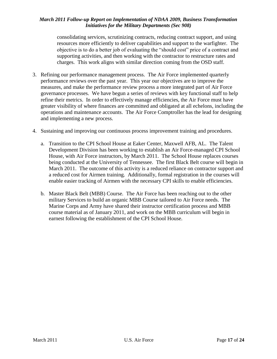consolidating services, scrutinizing contracts, reducing contract support, and using resources more efficiently to deliver capabilities and support to the warfighter. The objective is to do a better job of evaluating the "should cost" price of a contract and supporting activities, and then working with the contractor to restructure rates and charges. This work aligns with similar direction coming from the OSD staff.

- 3. Refining our performance management process. The Air Force implemented quarterly performance reviews over the past year. This year our objectives are to improve the measures, and make the performance review process a more integrated part of Air Force governance processes. We have begun a series of reviews with key functional staff to help refine their metrics. In order to effectively manage efficiencies, the Air Force must have greater visibility of where finances are committed and obligated at all echelons, including the operations and maintenance accounts. The Air Force Comptroller has the lead for designing and implementing a new process.
- 4. Sustaining and improving our continuous process improvement training and procedures.
	- a. Transition to the CPI School House at Eaker Center, Maxwell AFB, AL. The Talent Development Division has been working to establish an Air Force-managed CPI School House, with Air Force instructors, by March 2011. The School House replaces courses being conducted at the University of Tennessee. The first Black Belt course will begin in March 2011. The outcome of this activity is a reduced reliance on contractor support and a reduced cost for Airmen training. Additionally, formal registration in the courses will enable easier tracking of Airmen with the necessary CPI skills to enable efficiencies.
	- b. Master Black Belt (MBB) Course. The Air Force has been reaching out to the other military Services to build an organic MBB Course tailored to Air Force needs. The Marine Corps and Army have shared their instructor certification process and MBB course material as of January 2011, and work on the MBB curriculum will begin in earnest following the establishment of the CPI School House.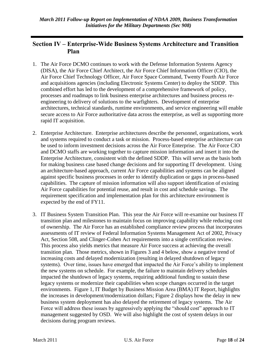# **Section IV – Enterprise-Wide Business Systems Architecture and Transition Plan**

- 1. The Air Force DCMO continues to work with the Defense Information Systems Agency (DISA), the Air Force Chief Architect, the Air Force Chief Information Officer (CIO), the Air Force Chief Technology Officer, Air Force Space Command, Twenty Fourth Air Force and acquisitions agencies (including Electronic Systems Center) to deploy the SDDP. This combined effort has led to the development of a comprehensive framework of policy, processes and roadmaps to link business enterprise architectures and business process reengineering to delivery of solutions to the warfighters. Development of enterprise architectures, technical standards, runtime environments, and service engineering will enable secure access to Air Force authoritative data across the enterprise, as well as supporting more rapid IT acquisition.
- 2. Enterprise Architecture. Enterprise architectures describe the personnel, organizations, work and systems required to conduct a task or mission. Process-based enterprise architecture can be used to inform investment decisions across the Air Force Enterprise. The Air Force CIO and DCMO staffs are working together to capture mission information and insert it into the Enterprise Architecture, consistent with the defined SDDP. This will serve as the basis both for making business case based change decisions and for supporting IT development. Using an architecture-based approach, current Air Force capabilities and systems can be aligned against specific business processes in order to identify duplication or gaps in process-based capabilities. The capture of mission information will also support identification of existing Air Force capabilities for potential reuse, and result in cost and schedule savings. The requirement specification and implementation plan for this architecture environment is expected by the end of FY11.
- 3. IT Business System Transition Plan. This year the Air Force will re-examine our business IT transition plan and milestones to maintain focus on improving capability while reducing cost of ownership. The Air Force has an established compliance review process that incorporates assessments of IT review of Federal Information Systems Management Act of 2002, Privacy Act, Section 508, and Clinger-Cohen Act requirements into a single certification review. This process also yields metrics that measure Air Force success at achieving the overall transition plan. Those metrics, shown in Figures 3 and 4 below, show a negative trend of increasing costs and delayed modernization (resulting in delayed shutdown of legacy systems). Over time, issues have emerged that impacted the Air Force's ability to implement the new systems on schedule. For example, the failure to maintain delivery schedules impacted the shutdown of legacy systems, requiring additional funding to sustain these legacy systems or modernize their capabilities when scope changes occurred in the target environments. Figure 1, IT Budget by Business Mission Area (BMA) IT Report, highlights the increases in development/modernization dollars; Figure 2 displays how the delay in new business system deployment has also delayed the retirement of legacy systems. The Air Force will address these issues by aggressively applying the "should cost" approach to IT management suggested by OSD. We will also highlight the cost of system delays in our decisions during program reviews.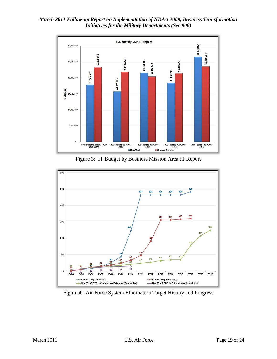

Figure 3: IT Budget by Business Mission Area IT Report



Figure 4: Air Force System Elimination Target History and Progress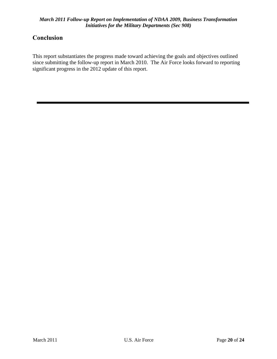# **Conclusion**

This report substantiates the progress made toward achieving the goals and objectives outlined since submitting the follow-up report in March 2010. The Air Force looks forward to reporting significant progress in the 2012 update of this report.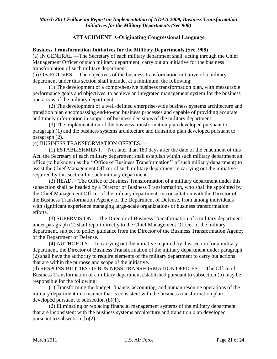### **ATTACHMENT A-Originating Congressional Language**

#### **Business Transformation Initiatives for the Military Departments (Sec. 908)**

(a) IN GENERAL.—The Secretary of each military department shall, acting through the Chief Management Officer of such military department, carry out an initiative for the business transformation of such military department.

(b) OBJECTIVES.—The objectives of the business transformation initiative of a military department under this section shall include, at a minimum, the following:

(1) The development of a comprehensive business transformation plan, with measurable performance goals and objectives, to achieve an integrated management system for the business operations of the military department.

(2) The development of a well-defined enterprise-wide business systems architecture and transition plan encompassing end-to-end business processes and capable of providing accurate and timely information in support of business decisions of the military department.

(3) The implementation of the business transformation plan developed pursuant to paragraph (1) and the business systems architecture and transition plan developed pursuant to paragraph (2).

(c) BUSINESS TRANSFORMATION OFFICES.—

(1) ESTABLISHMENT.—Not later than 180 days after the date of the enactment of this Act, the Secretary of each military department shall establish within such military department an office (to be known as the "Office of Business Transformation" of such military department) to assist the Chief Management Officer of such military department in carrying out the initiative required by this section for such military department.

(2) HEAD.—The Office of Business Transformation of a military department under this subsection shall be headed by a Director of Business Transformation, who shall be appointed by the Chief Management Officer of the military department, in consultation with the Director of the Business Transformation Agency of the Department of Defense, from among individuals with significant experience managing large-scale organizations or business transformation efforts.

(3) SUPERVISION.—The Director of Business Transformation of a military department under paragraph (2) shall report directly to the Chief Management Officer of the military department, subject to policy guidance from the Director of the Business Transformation Agency of the Department of Defense.

(4) AUTHORITY.—In carrying out the initiative required by this section for a military department, the Director of Business Transformation of the military department under paragraph (2) shall have the authority to require elements of the military department to carry out actions that are within the purpose and scope of the initiative.

(d) RESPONSIBILITIES OF BUSINESS TRANSFORMATION OFFICES.— The Office of Business Transformation of a military department established pursuant to subsection (b) may be responsible for the following:

(1) Transforming the budget, finance, accounting, and human resource operations of the military department in a manner that is consistent with the business transformation plan developed pursuant to subsection (b)(1).

(2) Eliminating or replacing financial management systems of the military department that are inconsistent with the business systems architecture and transition plan developed pursuant to subsection (b)(2).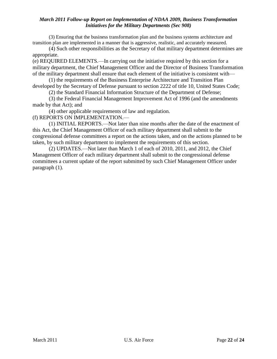(3) Ensuring that the business transformation plan and the business systems architecture and transition plan are implemented in a manner that is aggressive, realistic, and accurately measured.

(4) Such other responsibilities as the Secretary of that military department determines are appropriate.

(e) REQUIRED ELEMENTS.—In carrying out the initiative required by this section for a military department, the Chief Management Officer and the Director of Business Transformation of the military department shall ensure that each element of the initiative is consistent with—

(1) the requirements of the Business Enterprise Architecture and Transition Plan developed by the Secretary of Defense pursuant to section 2222 of title 10, United States Code;

(2) the Standard Financial Information Structure of the Department of Defense;

(3) the Federal Financial Management Improvement Act of 1996 (and the amendments made by that Act); and

(4) other applicable requirements of law and regulation.

(f) REPORTS ON IMPLEMENTATION.—

(1) INITIAL REPORTS.—Not later than nine months after the date of the enactment of this Act, the Chief Management Officer of each military department shall submit to the congressional defense committees a report on the actions taken, and on the actions planned to be taken, by such military department to implement the requirements of this section.

(2) UPDATES.—Not later than March 1 of each of 2010, 2011, and 2012, the Chief Management Officer of each military department shall submit to the congressional defense committees a current update of the report submitted by such Chief Management Officer under paragraph (1).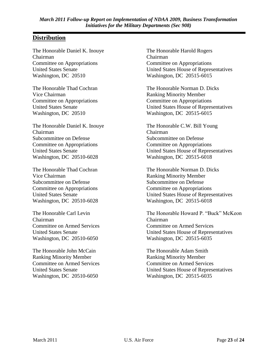### **Distribution**

The Honorable Daniel K. Inouye Chairman Committee on Appropriations United States Senate Washington, DC 20510

The Honorable Thad Cochran Vice Chairman Committee on Appropriations United States Senate Washington, DC 20510

The Honorable Daniel K. Inouye Chairman Subcommittee on Defense Committee on Appropriations United States Senate Washington, DC 20510-6028

The Honorable Thad Cochran Vice Chairman Subcommittee on Defense Committee on Appropriations United States Senate Washington, DC 20510-6028

The Honorable Carl Levin Chairman Committee on Armed Services United States Senate Washington, DC 20510-6050

The Honorable John McCain Ranking Minority Member Committee on Armed Services United States Senate Washington, DC 20510-6050

The Honorable Harold Rogers Chairman Committee on Appropriations United States House of Representatives Washington, DC 20515-6015

The Honorable Norman D. Dicks Ranking Minority Member Committee on Appropriations United States House of Representatives Washington, DC 20515-6015

The Honorable C.W. Bill Young Chairman Subcommittee on Defense Committee on Appropriations United States House of Representatives Washington, DC 20515-6018

The Honorable Norman D. Dicks Ranking Minority Member Subcommittee on Defense Committee on Appropriations United States House of Representatives Washington, DC 20515-6018

The Honorable Howard P. "Buck" McKeon Chairman Committee on Armed Services United States House of Representatives Washington, DC 20515-6035

The Honorable Adam Smith Ranking Minority Member Committee on Armed Services United States House of Representatives Washington, DC 20515-6035